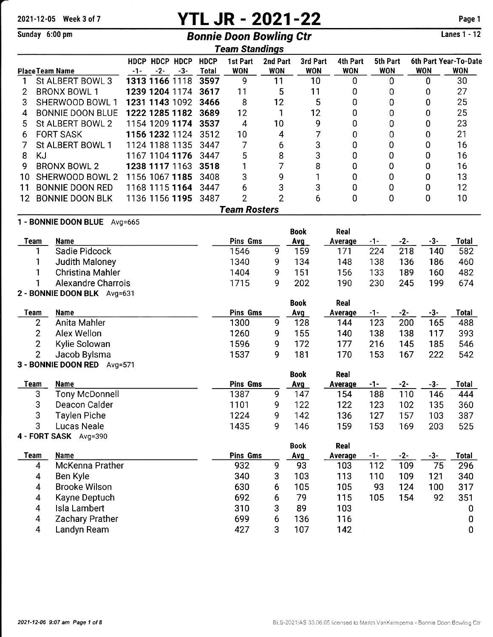# 2021-12-05 Week 3 of 7 **YTL JR - 2021-22** Page 1

## Sunday 6:00 pm Bonnie Doon Bowling Ctr

Lanes 1 - 12

|    |                               |       |       |                |              | <b>Team Standings</b> |                |             |            |            |            |       |                       |
|----|-------------------------------|-------|-------|----------------|--------------|-----------------------|----------------|-------------|------------|------------|------------|-------|-----------------------|
|    |                               |       |       | HDCP HDCP HDCP | <b>HDCP</b>  | 1st Part              | 2nd Part       | 3rd Part    | 4th Part   | 5th Part   |            |       | 6th Part Year-To-Date |
|    | <b>Place Team Name</b>        | $-1-$ | $-2-$ | $-3-$          | <b>Total</b> | <b>WON</b>            | <b>WON</b>     | <b>WON</b>  | <b>WON</b> | <b>WON</b> | <b>WON</b> |       | <b>WON</b>            |
| 1  | St ALBERT BOWL 3              |       |       | 1313 1166 1118 | 3597         | 9                     | 11             | 10          | 0          | 0          |            | 0     | 30                    |
| 2  | <b>BRONX BOWL 1</b>           |       |       | 1239 1204 1174 | 3617         | 11                    | 5              | 11          | 0          | 0          |            | 0     | 27                    |
| 3  | SHERWOOD BOWL 1               |       |       | 1231 1143 1092 | 3466         | 8                     | 12             | 5           | 0          | 0          |            | 0     | 25                    |
| 4  | <b>BONNIE DOON BLUE</b>       |       |       | 1222 1285 1182 | 3689         | 12                    | 1              | 12          | 0          | 0          |            | 0     | 25                    |
| 5  | St ALBERT BOWL 2              |       |       | 1154 1209 1174 | 3537         | 4                     | 10             | 9           | 0          | 0          |            | 0     | 23                    |
| 6  | <b>FORT SASK</b>              |       |       | 1156 1232 1124 | 3512         | 10                    | 4              | 7           | 0          | 0          |            | 0     | 21                    |
|    | St ALBERT BOWL 1              |       |       | 1124 1188 1135 | 3447         | 7                     | 6              | 3           | 0          | 0          |            | 0     | 16                    |
| 8  | KJ                            |       |       | 1167 1104 1176 | 3447         | 5                     | 8              | 3           | 0          | 0          |            | 0     | 16                    |
| 9  | <b>BRONX BOWL 2</b>           |       |       | 1238 1117 1163 | 3518         | 1                     | 7              | 8           | 0          | 0          |            | 0     | 16                    |
| 10 | SHERWOOD BOWL 2               |       |       | 1156 1067 1185 | 3408         | 3                     | 9              | 1           | 0          | 0          |            | 0     | 13                    |
| 11 | <b>BONNIE DOON RED</b>        |       |       | 1168 1115 1164 | 3447         | 6                     | 3              | 3           | 0          | 0          |            | 0     | 12                    |
| 12 | <b>BONNIE DOON BLK</b>        |       |       | 1136 1156 1195 | 3487         | $\overline{2}$        | $\overline{2}$ | 6           | 0          | 0          |            | 0     | 10                    |
|    |                               |       |       |                |              | <b>Team Rosters</b>   |                |             |            |            |            |       |                       |
|    | 1 - BONNIE DOON BLUE Avg=665  |       |       |                |              |                       |                |             |            |            |            |       |                       |
|    |                               |       |       |                |              |                       |                | <b>Book</b> | Real       |            |            |       |                       |
|    | <b>Name</b><br>Team           |       |       |                |              | <b>Pins Gms</b>       |                | Avg         | Average    | -1-        | $-2-$      | $-3-$ | Total                 |
|    | Sadie Pidcock                 |       |       |                |              | 1546                  | 9              | 159         | 171        | 224        | 218        | 140   | 582                   |
|    | Judith Maloney                |       |       |                |              | 1340                  | 9              | 134         | 148        | 138        | 136        | 186   | 460                   |
|    | <b>Christina Mahler</b>       |       |       |                |              | 1404                  | 9              | 151         | 156        | 133        | 189        | 160   | 482                   |
|    | <b>Alexandre Charrois</b>     |       |       |                |              | 1715                  | 9              | 202         | 190        | 230        | 245        | 199   | 674                   |
|    | 2 - BONNIE DOON BLK Avg=631   |       |       |                |              |                       |                |             |            |            |            |       |                       |
|    |                               |       |       |                |              |                       |                | <b>Book</b> | Real       |            |            |       |                       |
|    | <b>Name</b><br>Team           |       |       |                |              | <b>Pins Gms</b>       |                | Avg         | Average    | -1-        | $-2-$      | $-3-$ | Total                 |
|    | Anita Mahler<br>2             |       |       |                |              | 1300                  | 9              | 128         | 144        | 123        | 200        | 165   | 488                   |
|    | $\overline{2}$<br>Alex Wellon |       |       |                |              | 1260                  | 9              | 155         | 140        | 138        | 138        | 117   | 393                   |

### 2 Kylie Solowan<br>2 Jacob Bylsma Jacob Bylsma - BONNIE DOON RED Avg=571

|               |                |                 |   | <b>Book</b> | Real    |     |     |     |              |
|---------------|----------------|-----------------|---|-------------|---------|-----|-----|-----|--------------|
| Team          | Name           | <b>Pins Gms</b> |   | <u>Avg</u>  | Average | -1- | -2- |     | <b>Total</b> |
| 3             | Tony McDonnell | 1387            | 9 | 147         | 154     | 188 | 110 | 146 | 444          |
| 3             | Deacon Calder  | 1101            | 9 | 122         | 122     | 123 | 102 | 135 | 360          |
| 3             | Taylen Piche   | 1224            | 9 | 142         | 136     | 127 | 57  | 103 | 387          |
| 3             | Lucas Neale    | 1435            | g | 146         | 159     | 153 | 169 | 203 | 525          |
| 4 - FORT SASK | Avg=390        |                 |   |             |         |     |     |     |              |

<sup>9</sup> 

### Book Real Team Name Pins Gms Avq Averaqe -1- -2- -3- Total Pins Gms<br>932 9 93<br>340 3 103 Average -1-<br>103 112 109  $\frac{-3}{75}$  Total McKenna Prather 340 3 <sup>103</sup> Ben Kyle 113 110 <sup>109</sup> <sup>340</sup> Brooke Wilson 630 6 <sup>105</sup> 105 93 <sup>124</sup> 100<br>92 Kayne Deptuch  $\begin{array}{cc}\n 692 & 6 \\
310 & 3\n \end{array}$  lsla Lambert 310 3 <sup>89</sup> Zachary Prather Landyn Ream 427 3 <sup>107</sup>

<sup>185</sup> 

172 177 <sup>216</sup>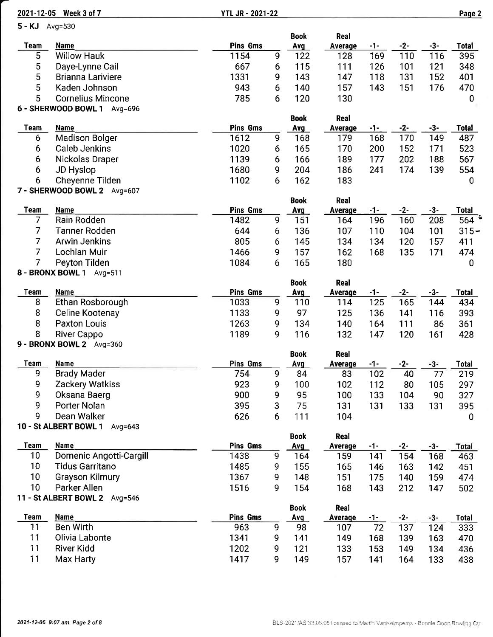|                | 2021-12-05 Week 3 of 7               | <b>YTL JR - 2021-22</b> |   |                    |                        |            |              |              | Page 2              |
|----------------|--------------------------------------|-------------------------|---|--------------------|------------------------|------------|--------------|--------------|---------------------|
| 5 - KJ Avg=530 |                                      |                         |   |                    |                        |            |              |              |                     |
|                |                                      |                         |   | <b>Book</b>        | Real                   |            |              |              |                     |
| <b>Team</b>    | <b>Name</b>                          | <b>Pins Gms</b>         |   | Avg                | Average                | $-1-$      | $-2-$        | $-3-$        | <b>Total</b>        |
| 5              | <b>Willow Hauk</b>                   | 1154                    | 9 | 122                | 128                    | 169        | 110          | 116          | 395                 |
| 5              | Daye-Lynne Cail                      | 667                     | 6 | 115                | 111                    | 126        | 101          | 121          | 348                 |
| 5              | <b>Brianna Lariviere</b>             | 1331                    | 9 | 143                | 147                    | 118        | 131          | 152          | 401                 |
| 5              | Kaden Johnson                        | 943                     | 6 | 140                | 157                    | 143        | 151          | 176          | 470                 |
| 5              | <b>Cornelius Mincone</b>             | 785                     | 6 | 120                | 130                    |            |              |              | 0                   |
|                | 6 - SHERWOOD BOWL 1 Avg=696          |                         |   |                    |                        |            |              |              |                     |
| <b>Team</b>    |                                      | <b>Pins Gms</b>         |   | <b>Book</b>        | Real                   |            |              |              |                     |
| 6              | <b>Name</b><br><b>Madison Bolger</b> | 1612                    | 9 | Avg<br>168         | Average<br>179         | -1-<br>168 | $-2-$<br>170 | $-3-$<br>149 | <b>Total</b><br>487 |
| 6              | <b>Caleb Jenkins</b>                 | 1020                    | 6 | 165                | 170                    | 200        | 152          | 171          | 523                 |
| 6              | Nickolas Draper                      | 1139                    | 6 | 166                | 189                    | 177        | 202          | 188          | 567                 |
| 6              | JD Hyslop                            | 1680                    | 9 | 204                | 186                    | 241        | 174          | 139          | 554                 |
| 6              | Cheyenne Tilden                      | 1102                    | 6 | 162                | 183                    |            |              |              | 0                   |
|                | 7 - SHERWOOD BOWL 2 Avg=607          |                         |   |                    |                        |            |              |              |                     |
|                |                                      |                         |   | <b>Book</b>        | Real                   |            |              |              |                     |
| <b>Team</b>    | <b>Name</b>                          | <b>Pins Gms</b>         |   | Avg                | <b>Average</b>         | $-1-$      | $-2-$        | $-3-$        | <b>Total</b>        |
| 7              | Rain Rodden                          | 1482                    | 9 | 151                | 164                    | 196        | 160          | 208          | $564^{+}$           |
| 7              | <b>Tanner Rodden</b>                 | 644                     | 6 | 136                | 107                    | 110        | 104          | 101          | $315 -$             |
| 7              | <b>Arwin Jenkins</b>                 | 805                     | 6 | 145                | 134                    | 134        | 120          | 157          | 411                 |
| 7              | Lochlan Muir                         | 1466                    | 9 | 157                | 162                    | 168        | 135          | 171          | 474                 |
| 7              | Peyton Tilden                        | 1084                    | 6 | 165                | 180                    |            |              |              | $\bf{0}$            |
|                | 8 - BRONX BOWL 1 Avg=511             |                         |   |                    |                        |            |              |              |                     |
|                |                                      |                         |   | <b>Book</b>        | Real                   |            |              |              |                     |
| <b>Team</b>    | <b>Name</b>                          | <b>Pins Gms</b>         |   | Avg                | Average                | -1-        | $-2-$        | $-3-$        | <b>Total</b>        |
| 8              | Ethan Rosborough                     | 1033                    | 9 | 110                | 114                    | 125        | 165          | 144          | 434                 |
| 8              | Celine Kootenay                      | 1133                    | 9 | 97                 | 125                    | 136        | 141          | 116          | 393                 |
| 8              | <b>Paxton Louis</b>                  | 1263                    | 9 | 134                | 140                    | 164        | 111          | 86           | 361                 |
| 8              | <b>River Cappo</b>                   | 1189                    | 9 | 116                | 132                    | 147        | 120          | 161          | 428                 |
|                | 9 - BRONX BOWL 2 Avg=360             |                         |   |                    |                        |            |              |              |                     |
| Team           | <b>Name</b>                          | Pins Gms                |   | <b>Book</b><br>Avg | Real<br><b>Average</b> | -1-        | $-2-$        | -3-          | <b>Total</b>        |
| 9              | <b>Brady Mader</b>                   | 754                     | 9 | 84                 | 83                     | 102        | 40           | 77           | 219                 |
| 9              | Zackery Watkiss                      | 923                     | 9 | 100                | 102                    | 112        | 80           | 105          | 297                 |
| 9              | Oksana Baerg                         | 900                     | 9 | 95                 | 100                    | 133        | 104          | 90           | 327                 |
| 9              | Porter Nolan                         | 395                     | 3 | 75                 | 131                    | 131        | 133          | 131          | 395                 |
| 9              | Dean Walker                          | 626                     | 6 | 111                | 104                    |            |              |              | $\mathbf 0$         |
|                | 10 - St ALBERT BOWL 1<br>Avg= $643$  |                         |   |                    |                        |            |              |              |                     |
|                |                                      |                         |   | <b>Book</b>        | Real                   |            |              |              |                     |
| <b>Team</b>    | <b>Name</b>                          | <b>Pins Gms</b>         |   | Avg                | Average                | $-1-$      | $-2-$        | -3-          | Total               |
| 10             | Domenic Angotti-Cargill              | 1438                    | 9 | 164                | 159                    | 141        | 154          | 168          | 463                 |
| 10             | <b>Tidus Garritano</b>               | 1485                    | 9 | 155                | 165                    | 146        | 163          | 142          | 451                 |
| 10             | <b>Grayson Kilmury</b>               | 1367                    | 9 | 148                | 151                    | 175        | 140          | 159          | 474                 |
| 10             | Parker Allen                         | 1516                    | 9 | 154                | 168                    | 143        | 212          | 147          | 502                 |
|                | 11 - St ALBERT BOWL 2 Avg=546        |                         |   |                    |                        |            |              |              |                     |
|                |                                      |                         |   | <b>Book</b>        | Real                   |            |              |              |                     |
| <b>Team</b>    | Name                                 | <b>Pins Gms</b>         |   | <b>Avg</b>         | <b>Average</b>         | -1-        | $-2-$        | $-3-$        | <b>Total</b>        |
| 11             | <b>Ben Wirth</b>                     | 963                     | 9 | 98                 | 107                    | 72         | 137          | 124          | 333                 |
| 11             | Olivia Labonte                       | 1341                    | 9 | 141                | 149                    | 168        | 139          | 163          | 470                 |
| 11             | <b>River Kidd</b>                    | 1202                    | 9 | 121                | 133                    | 153        | 149          | 134          | 436                 |
| 11             | Max Harty                            | 1417                    | 9 | 149                | 157                    | 141        | 164          | 133          | 438                 |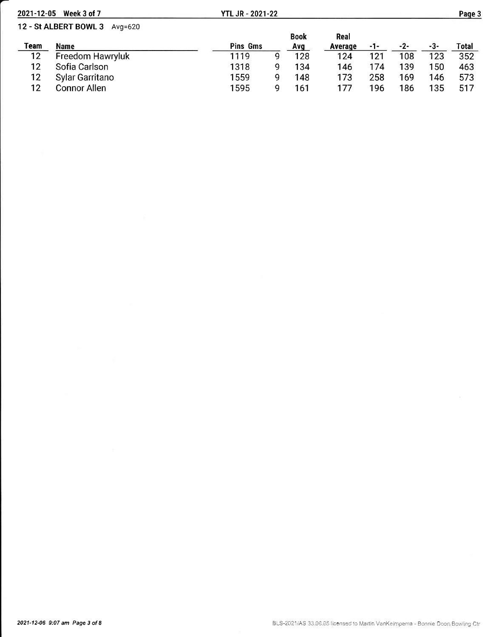| 2021-12-05 | Week 3 of 7                   | <b>YTL JR - 2021-22</b> |   |             |         |     |     |     | Page 3 |
|------------|-------------------------------|-------------------------|---|-------------|---------|-----|-----|-----|--------|
|            | 12 - St ALBERT BOWL 3 Avg=620 |                         |   |             |         |     |     |     |        |
|            |                               |                         |   | <b>Book</b> | Real    |     |     |     |        |
| Team       | Name                          | Pins Gms                |   | Avg         | Average | -1- | -2- | -3- | Total  |
| 12         | Freedom Hawryluk              | 1119                    | Q | 128         | 124     | 121 | 108 | 123 | 352    |
| 12         | Sofia Carlson                 | 1318                    | q | 134         | 146     | 174 | 139 | 150 | 463    |
| 12         | Sylar Garritano               | 1559                    | 9 | 148         | 173     | 258 | 169 | 146 | 573    |
| 12         | <b>Connor Allen</b>           | 1595                    | a | 161         | 177     | 196 | 186 | 135 | 517    |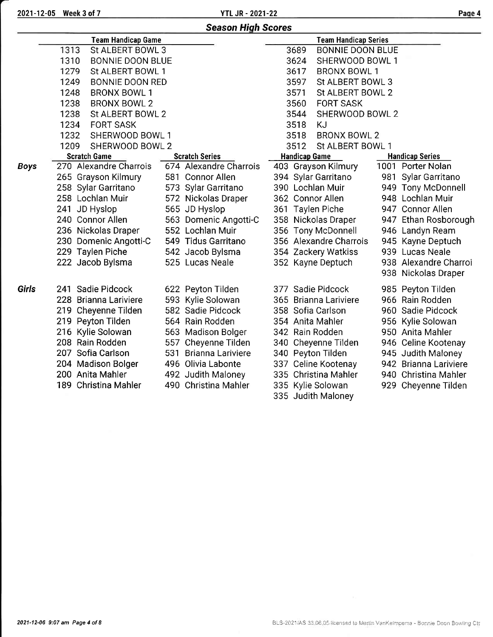2021-12-05 Week 3 of 7 Page 4

|              |                                 | <b>Season High Scores</b> |                                 |                        |
|--------------|---------------------------------|---------------------------|---------------------------------|------------------------|
|              | <b>Team Handicap Game</b>       |                           | <b>Team Handicap Series</b>     |                        |
|              | 1313<br>St ALBERT BOWL 3        |                           | 3689<br><b>BONNIE DOON BLUE</b> |                        |
|              | 1310<br><b>BONNIE DOON BLUE</b> |                           | 3624<br>SHERWOOD BOWL 1         |                        |
|              | 1279<br>St ALBERT BOWL 1        |                           | 3617<br><b>BRONX BOWL 1</b>     |                        |
|              | 1249<br><b>BONNIE DOON RED</b>  |                           | 3597<br>St ALBERT BOWL 3        |                        |
|              | 1248<br><b>BRONX BOWL 1</b>     |                           | 3571<br>St ALBERT BOWL 2        |                        |
|              | 1238<br><b>BRONX BOWL 2</b>     |                           | 3560<br><b>FORT SASK</b>        |                        |
|              | 1238<br>St ALBERT BOWL 2        |                           | 3544<br>SHERWOOD BOWL 2         |                        |
|              | 1234<br><b>FORT SASK</b>        |                           | <b>KJ</b><br>3518               |                        |
|              | 1232<br>SHERWOOD BOWL 1         |                           | 3518<br><b>BRONX BOWL 2</b>     |                        |
|              | 1209<br>SHERWOOD BOWL 2         |                           | 3512<br>St ALBERT BOWL 1        |                        |
|              | <b>Scratch Game</b>             | <b>Scratch Series</b>     | <b>Handicap Game</b>            | <b>Handicap Series</b> |
| <b>Boys</b>  | 270 Alexandre Charrois          | 674 Alexandre Charrois    | 403 Grayson Kilmury             | 1001 Porter Nolan      |
|              | 265 Grayson Kilmury             | 581 Connor Allen          | 394 Sylar Garritano             | 981 Sylar Garritano    |
|              | 258 Sylar Garritano             | 573 Sylar Garritano       | 390 Lochlan Muir                | 949 Tony McDonnell     |
|              | 258 Lochlan Muir                | 572 Nickolas Draper       | 362 Connor Allen                | 948 Lochlan Muir       |
|              | 241 JD Hyslop                   | 565 JD Hyslop             | 361 Taylen Piche                | 947 Connor Allen       |
|              | 240 Connor Allen                | 563 Domenic Angotti-C     | 358 Nickolas Draper             | 947 Ethan Rosborough   |
|              | 236 Nickolas Draper             | 552 Lochlan Muir          | 356 Tony McDonnell              | 946 Landyn Ream        |
|              | 230 Domenic Angotti-C           | 549 Tidus Garritano       | 356 Alexandre Charrois          | 945 Kayne Deptuch      |
|              | 229 Taylen Piche                | 542 Jacob Bylsma          | 354 Zackery Watkiss             | 939 Lucas Neale        |
|              | 222 Jacob Bylsma                | 525 Lucas Neale           | 352 Kayne Deptuch               | 938 Alexandre Charroi  |
|              |                                 |                           |                                 | 938 Nickolas Draper    |
| <b>Girls</b> | 241 Sadie Pidcock               | 622 Peyton Tilden         | 377 Sadie Pidcock               | 985 Peyton Tilden      |
|              | 228 Brianna Lariviere           | 593 Kylie Solowan         | 365 Brianna Lariviere           | 966 Rain Rodden        |
|              | 219 Cheyenne Tilden             | 582 Sadie Pidcock         | 358 Sofia Carlson               | 960 Sadie Pidcock      |
|              | 219 Peyton Tilden               | 564 Rain Rodden           | 354 Anita Mahler                | 956 Kylie Solowan      |
|              | 216 Kylie Solowan               | 563 Madison Bolger        | 342 Rain Rodden                 | 950 Anita Mahler       |
|              | 208 Rain Rodden                 | 557 Cheyenne Tilden       | 340 Cheyenne Tilden             | 946 Celine Kootenay    |
|              | 207 Sofia Carlson               | 531 Brianna Lariviere     | 340 Peyton Tilden               | 945 Judith Maloney     |
|              | 204 Madison Bolger              | 496 Olivia Labonte        | 337 Celine Kootenay             | 942 Brianna Lariviere  |
|              | 200 Anita Mahler                | 492 Judith Maloney        | 335 Christina Mahler            | 940 Christina Mahler   |
|              | 189 Christina Mahler            | 490 Christina Mahler      | 335 Kylie Solowan               | 929 Cheyenne Tilden    |
|              |                                 |                           | 335 Judith Maloney              |                        |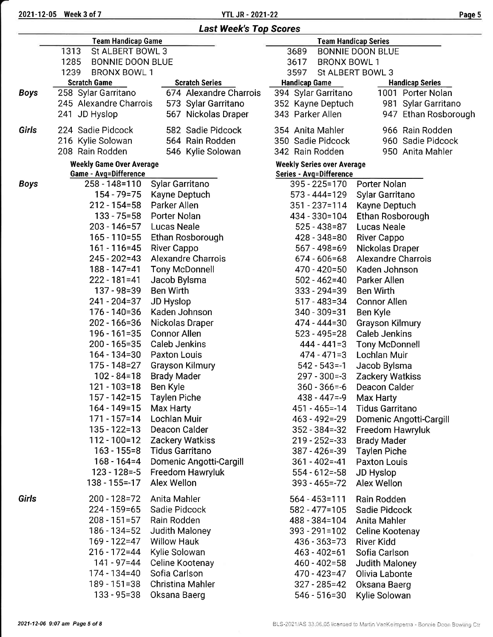|             | <b>Team Handicap Game</b>       |                           |                                   | <b>Team Handicap Series</b> |
|-------------|---------------------------------|---------------------------|-----------------------------------|-----------------------------|
|             | St ALBERT BOWL 3<br>1313        |                           | 3689                              | <b>BONNIE DOON BLUE</b>     |
|             | 1285<br><b>BONNIE DOON BLUE</b> |                           | 3617<br><b>BRONX BOWL 1</b>       |                             |
|             | 1239<br><b>BRONX BOWL 1</b>     |                           | 3597                              | St ALBERT BOWL 3            |
|             | <b>Scratch Game</b>             | <b>Scratch Series</b>     | <b>Handicap Game</b>              | <b>Handicap Series</b>      |
| <b>Boys</b> | 258 Sylar Garritano             | 674 Alexandre Charrois    | 394 Sylar Garritano               | 1001 Porter Nolan           |
|             | 245 Alexandre Charrois          | 573 Sylar Garritano       | 352 Kayne Deptuch                 | 981 Sylar Garritano         |
|             | 241 JD Hyslop                   | 567 Nickolas Draper       | 343 Parker Allen                  | 947 Ethan Rosborough        |
| Girls       | 224 Sadie Pidcock               | 582 Sadie Pidcock         | 354 Anita Mahler                  | 966 Rain Rodden             |
|             | 216 Kylie Solowan               | 564 Rain Rodden           | 350 Sadie Pidcock                 | 960 Sadie Pidcock           |
|             | 208 Rain Rodden                 | 546 Kylie Solowan         | 342 Rain Rodden                   | 950 Anita Mahler            |
|             | <b>Weekly Game Over Average</b> |                           | <b>Weekly Series over Average</b> |                             |
|             | <b>Game - Avg=Difference</b>    |                           | <b>Series - Avg=Difference</b>    |                             |
| <b>Boys</b> | 258 - 148=110                   | Sylar Garritano           | 395 - 225=170                     | Porter Nolan                |
|             | 154 - 79 = 75                   | Kayne Deptuch             | 573 - 444=129                     | Sylar Garritano             |
|             | $212 - 154 = 58$                | Parker Allen              | $351 - 237 = 114$                 | Kayne Deptuch               |
|             | 133 - 75=58                     | Porter Nolan              | 434 - 330 = 104                   | Ethan Rosborough            |
|             | $203 - 146 = 57$                | Lucas Neale               | $525 - 438 = 87$                  | Lucas Neale                 |
|             | $165 - 110 = 55$                | Ethan Rosborough          | 428 - 348 = 80                    | <b>River Cappo</b>          |
|             | $161 - 116 = 45$                | River Cappo               | 567 - 498 = 69                    | Nickolas Draper             |
|             | 245 - 202=43                    | <b>Alexandre Charrois</b> | $674 - 606 = 68$                  | <b>Alexandre Charrois</b>   |
|             | 188 - 147 = 41                  | <b>Tony McDonnell</b>     | 470 - 420=50                      | Kaden Johnson               |
|             | 222 - 181=41                    | Jacob Bylsma              | $502 - 462 = 40$                  | Parker Allen                |
|             | 137 - 98 = 39                   | <b>Ben Wirth</b>          | $333 - 294 = 39$                  | Ben Wirth                   |
|             | 241 - 204=37                    | JD Hyslop                 | $517 - 483 = 34$                  | Connor Allen                |
|             | $176 - 140 = 36$                | Kaden Johnson             | $340 - 309 = 31$                  | Ben Kyle                    |
|             | 202 - 166=36                    | Nickolas Draper           | 474 - 444=30                      | Grayson Kilmury             |
|             | $196 - 161 = 35$                | <b>Connor Allen</b>       | 523 - 495=28                      | <b>Caleb Jenkins</b>        |
|             | $200 - 165 = 35$                | <b>Caleb Jenkins</b>      | $444 - 441 = 3$                   | <b>Tony McDonnell</b>       |
|             | $164 - 134 = 30$                | Paxton Louis              | $474 - 471 = 3$                   | Lochlan Muir                |
|             | 175 - 148 = 27                  | <b>Grayson Kilmury</b>    | $542 - 543 = -1$                  | Jacob Bylsma                |
|             | $102 - 84 = 18$                 | <b>Brady Mader</b>        | $297 - 300 = -3$                  | <b>Zackery Watkiss</b>      |
|             | 121 - 103=18                    | Ben Kyle                  | $360 - 366 = -6$                  | Deacon Calder               |
|             | 157 - 142=15                    | <b>Taylen Piche</b>       | 438 - 447=-9                      | Max Harty                   |
|             | 164 - 149=15                    | Max Harty                 | $451 - 465 = -14$                 | <b>Tidus Garritano</b>      |
|             | $171 - 157 = 14$                | <b>Lochlan Muir</b>       | $463 - 492 = -29$                 | Domenic Angotti-Cargill     |
|             | 135 - 122=13                    | Deacon Calder             | $352 - 384 = -32$                 | Freedom Hawryluk            |
|             | 112 - 100 = 12                  | Zackery Watkiss           | $219 - 252 = -33$                 | <b>Brady Mader</b>          |
|             | $163 - 155 = 8$                 | <b>Tidus Garritano</b>    | $387 - 426 = -39$                 | <b>Taylen Piche</b>         |
|             | $168 - 164 = 4$                 | Domenic Angotti-Cargill   | $361 - 402 = -41$                 | <b>Paxton Louis</b>         |
|             | $123 - 128 = -5$                | Freedom Hawryluk          | $554 - 612 = -58$                 | JD Hyslop                   |
|             | $138 - 155 = -17$               | Alex Wellon               | $393 - 465 = -72$                 | Alex Wellon                 |
| Girls       | 200 - 128 = 72                  | Anita Mahler              | $564 - 453 = 111$                 | Rain Rodden                 |
|             | $224 - 159 = 65$                | Sadie Pidcock             | $582 - 477 = 105$                 | Sadie Pidcock               |
|             | $208 - 151 = 57$                | Rain Rodden               | 488 - 384=104                     | Anita Mahler                |
|             | 186 - 134=52                    | Judith Maloney            | $393 - 291 = 102$                 | Celine Kootenay             |
|             | 169 - 122=47                    | <b>Willow Hauk</b>        | $436 - 363 = 73$                  | <b>River Kidd</b>           |
|             | $216 - 172 = 44$                | Kylie Solowan             | $463 - 402 = 61$                  | Sofia Carlson               |
|             | 141 - 97=44                     | Celine Kootenay           | $460 - 402 = 58$                  | Judith Maloney              |
|             | 174 - 134=40                    | Sofia Carlson             | 470 - 423=47                      | Olivia Labonte              |
|             | $189 - 151 = 38$                | Christina Mahler          | $327 - 285 = 42$                  | Oksana Baerg                |
|             | $133 - 95 = 38$                 | Oksana Baerg              | $546 - 516 = 30$                  | Kylie Solowan               |
|             |                                 |                           |                                   |                             |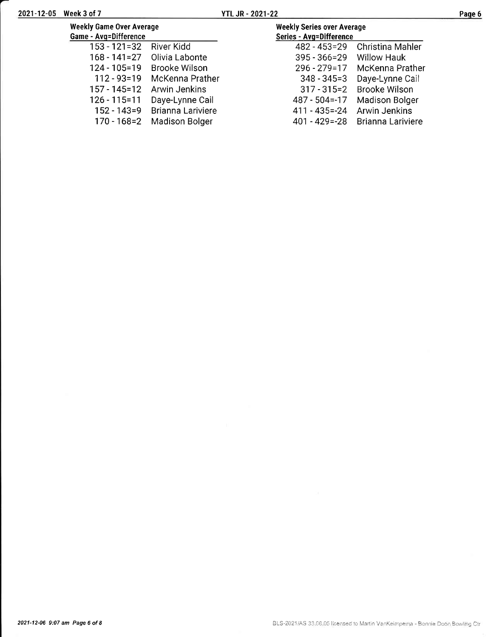| age |  |
|-----|--|
|-----|--|

| <b>Weekly Game Over Average</b> |                             | <b>Weekly Series over Average</b> |                       |
|---------------------------------|-----------------------------|-----------------------------------|-----------------------|
| Game - Avg=Difference           |                             | Series - Avg=Difference           |                       |
| $153 - 121 = 32$                | <b>River Kidd</b>           | 482 - 453 = 29                    | Christina Mahler      |
|                                 | 168 - 141=27 Olivia Labonte | 395 - 366 = 29                    | <b>Willow Hauk</b>    |
| 124 - 105 = 19                  | Brooke Wilson               | $296 - 279 = 17$                  | McKenna Prather       |
| $112 - 93 = 19$                 | McKenna Prather             | $348 - 345 = 3$                   | Daye-Lynne Cail       |
| $157 - 145 = 12$                | Arwin Jenkins               | $317 - 315 = 2$                   | <b>Brooke Wilson</b>  |
| $126 - 115 = 11$                | Daye-Lynne Cail             | $487 - 504 = -17$                 | <b>Madison Bolger</b> |
| $152 - 143 = 9$                 | Brianna Lariviere           | 411 - 435 = - 24                  | Arwin Jenkins         |
| $170 - 168 = 2$                 | <b>Madison Bolger</b>       | $401 - 429 = -28$                 | Brianna Lariviere     |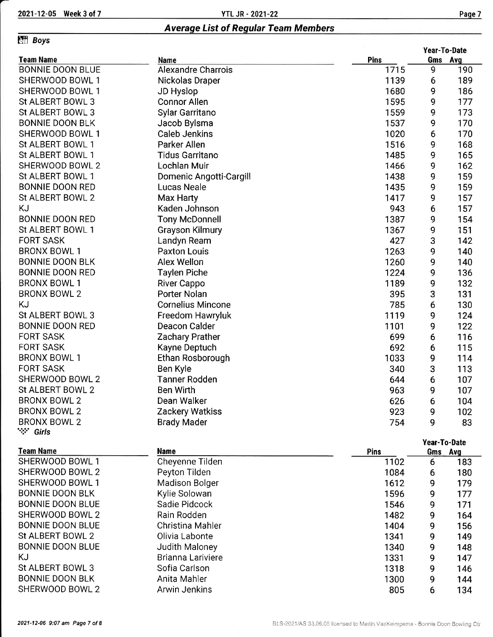### **Effi** Boys

|                         |                           |      | Year-To-Date |         |  |
|-------------------------|---------------------------|------|--------------|---------|--|
| <b>Team Name</b>        | Name                      | Pins |              | Gms Avg |  |
| <b>BONNIE DOON BLUE</b> | <b>Alexandre Charrois</b> | 1715 | 9            | 190     |  |
| SHERWOOD BOWL 1         | Nickolas Draper           | 1139 | 6            | 189     |  |
| SHERWOOD BOWL 1         | <b>JD Hyslop</b>          | 1680 | 9            | 186     |  |
| St ALBERT BOWL 3        | <b>Connor Allen</b>       | 1595 | 9            | 177     |  |
| St ALBERT BOWL 3        | <b>Sylar Garritano</b>    | 1559 | 9            | 173     |  |
| <b>BONNIE DOON BLK</b>  | Jacob Bylsma              | 1537 | 9            | 170     |  |
| SHERWOOD BOWL 1         | <b>Caleb Jenkins</b>      | 1020 | 6            | 170     |  |
| St ALBERT BOWL 1        | Parker Allen              | 1516 | 9            | 168     |  |
| St ALBERT BOWL 1        | <b>Tidus Garritano</b>    | 1485 | 9            | 165     |  |
| SHERWOOD BOWL 2         | Lochlan Muir              | 1466 | 9            | 162     |  |
| St ALBERT BOWL 1        | Domenic Angotti-Cargill   | 1438 | 9            | 159     |  |
| <b>BONNIE DOON RED</b>  | <b>Lucas Neale</b>        | 1435 | 9            | 159     |  |
| St ALBERT BOWL 2        | Max Harty                 | 1417 | 9            | 157     |  |
| KJ                      | Kaden Johnson             | 943  | 6            | 157     |  |
| <b>BONNIE DOON RED</b>  | <b>Tony McDonnell</b>     | 1387 | 9            | 154     |  |
| St ALBERT BOWL 1        | <b>Grayson Kilmury</b>    | 1367 | 9            | 151     |  |
| <b>FORT SASK</b>        | Landyn Ream               | 427  | 3            | 142     |  |
| <b>BRONX BOWL 1</b>     | <b>Paxton Louis</b>       | 1263 | 9            | 140     |  |
| <b>BONNIE DOON BLK</b>  | Alex Wellon               | 1260 | 9            | 140     |  |
| <b>BONNIE DOON RED</b>  | <b>Taylen Piche</b>       | 1224 | 9            | 136     |  |
| <b>BRONX BOWL 1</b>     | River Cappo               | 1189 | 9            | 132     |  |
| <b>BRONX BOWL 2</b>     | Porter Nolan              | 395  | 3            | 131     |  |
| ΚJ                      | <b>Cornelius Mincone</b>  | 785  | 6            | 130     |  |
| St ALBERT BOWL 3        | Freedom Hawryluk          | 1119 | 9            | 124     |  |
| <b>BONNIE DOON RED</b>  | Deacon Calder             | 1101 | 9            | 122     |  |
| <b>FORT SASK</b>        | <b>Zachary Prather</b>    | 699  | 6            | 116     |  |
| <b>FORT SASK</b>        | Kayne Deptuch             | 692  | 6            | 115     |  |
| <b>BRONX BOWL 1</b>     | Ethan Rosborough          | 1033 | 9            | 114     |  |
| <b>FORT SASK</b>        | Ben Kyle                  | 340  | 3            | 113     |  |
| SHERWOOD BOWL 2         | <b>Tanner Rodden</b>      | 644  | 6            | 107     |  |
| St ALBERT BOWL 2        | <b>Ben Wirth</b>          | 963  | 9            | 107     |  |
| <b>BRONX BOWL 2</b>     | Dean Walker               | 626  | 6            | 104     |  |
| <b>BRONX BOWL 2</b>     | Zackery Watkiss           | 923  | 9            | 102     |  |

BRONX BOWL 2 '\*:' Girls

### Team Name

| <b>Team Name</b>        | <b>Name</b>           | <b>Pins</b> | Gms | Ava |
|-------------------------|-----------------------|-------------|-----|-----|
| SHERWOOD BOWL 1         | Cheyenne Tilden       | 1102        | 6   | 183 |
| SHERWOOD BOWL 2         | Peyton Tilden         | 1084        | 6   | 180 |
| SHERWOOD BOWL 1         | <b>Madison Bolger</b> | 1612        | 9   | 179 |
| <b>BONNIE DOON BLK</b>  | Kylie Solowan         | 1596        | 9   | 177 |
| <b>BONNIE DOON BLUE</b> | Sadie Pidcock         | 1546        | 9   | 171 |
| SHERWOOD BOWL 2         | Rain Rodden           | 1482        | 9   | 164 |
| <b>BONNIE DOON BLUE</b> | Christina Mahler      | 1404        | 9   | 156 |
| St ALBERT BOWL 2        | Olivia Labonte        | 1341        | 9   | 149 |
| <b>BONNIE DOON BLUE</b> | Judith Maloney        | 1340        | 9   | 148 |
| KJ                      | Brianna Lariviere     | 1331        | 9   | 147 |
| St ALBERT BOWL 3        | Sofia Carlson         | 1318        | 9   | 146 |
| <b>BONNIE DOON BLK</b>  | Anita Mahler          | 1300        | 9   | 144 |
| SHERWOOD BOWL 2         | Arwin Jenkins         | 805         | 6   | 134 |

Zackery Watkiss Brady Mader

923 754

102<br>83

9

Year-To-Date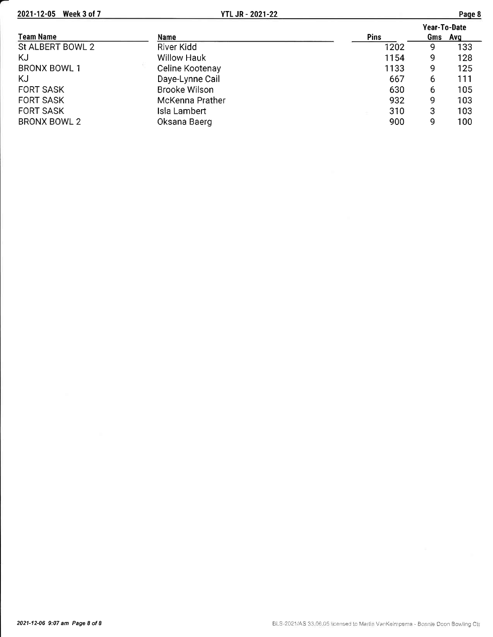2021-12-05 Week 3 of 7

| יחני |  |
|------|--|
|------|--|

|                     |                      |             | Year-To-Date |     |
|---------------------|----------------------|-------------|--------------|-----|
| <b>Team Name</b>    | Name                 | <b>Pins</b> | Gms Avg      |     |
| St ALBERT BOWL 2    | River Kidd           | 1202        | 9            | 133 |
| KJ                  | <b>Willow Hauk</b>   | 1154        | 9            | 128 |
| <b>BRONX BOWL 1</b> | Celine Kootenay      | 1133        | 9            | 125 |
| KJ                  | Daye-Lynne Cail      | 667         | 6            | 111 |
| <b>FORT SASK</b>    | <b>Brooke Wilson</b> | 630         | 6            | 105 |
| <b>FORT SASK</b>    | McKenna Prather      | 932         | 9            | 103 |
| <b>FORT SASK</b>    | Isla Lambert         | 310         | 3            | 103 |
| <b>BRONX BOWL 2</b> | Oksana Baerg         | 900         | q            | 100 |